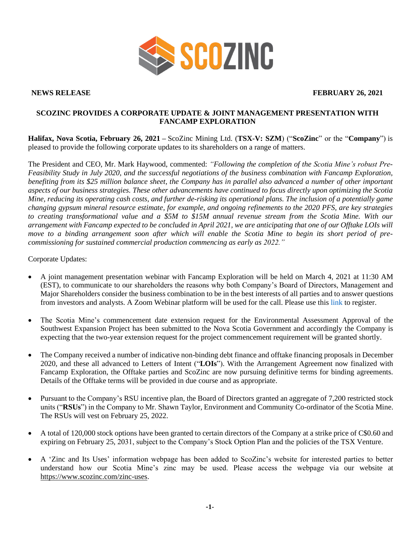

**NEWS RELEASE FEBRUARY 26, 2021**

## **SCOZINC PROVIDES A CORPORATE UPDATE & JOINT MANAGEMENT PRESENTATION WITH FANCAMP EXPLORATION**

**Halifax, Nova Scotia, February 26, 2021 –** ScoZinc Mining Ltd. (**TSX-V: SZM**) ("**ScoZinc**" or the "**Company**") is pleased to provide the following corporate updates to its shareholders on a range of matters.

The President and CEO, Mr. Mark Haywood, commented: *"Following the completion of the Scotia Mine's robust Pre-Feasibility Study in July 2020, and the successful negotiations of the business combination with Fancamp Exploration, benefiting from its \$25 million balance sheet, the Company has in parallel also advanced a number of other important aspects of our business strategies. These other advancements have continued to focus directly upon optimizing the Scotia Mine, reducing its operating cash costs, and further de-risking its operational plans. The inclusion of a potentially game changing gypsum mineral resource estimate, for example, and ongoing refinements to the 2020 PFS, are key strategies to creating transformational value and a \$5M to \$15M annual revenue stream from the Scotia Mine. With our arrangement with Fancamp expected to be concluded in April 2021, we are anticipating that one of our Offtake LOIs will move to a binding arrangement soon after which will enable the Scotia Mine to begin its short period of precommissioning for sustained commercial production commencing as early as 2022."*

Corporate Updates:

- A joint management presentation webinar with Fancamp Exploration will be held on March 4, 2021 at 11:30 AM (EST), to communicate to our shareholders the reasons why both Company's Board of Directors, Management and Major Shareholders consider the business combination to be in the best interests of all parties and to answer questions from investors and analysts. A Zoom Webinar platform will be used for the call. Please use this [link](https://us02web.zoom.us/webinar/register/WN_OhgLLQ8XRimvrevE-ocoYg) to register.
- The Scotia Mine's commencement date extension request for the Environmental Assessment Approval of the Southwest Expansion Project has been submitted to the Nova Scotia Government and accordingly the Company is expecting that the two-year extension request for the project commencement requirement will be granted shortly.
- The Company received a number of indicative non-binding debt finance and offtake financing proposals in December 2020, and these all advanced to Letters of Intent ("**LOIs**"). With the Arrangement Agreement now finalized with Fancamp Exploration, the Offtake parties and ScoZinc are now pursuing definitive terms for binding agreements. Details of the Offtake terms will be provided in due course and as appropriate.
- Pursuant to the Company's RSU incentive plan, the Board of Directors granted an aggregate of 7,200 restricted stock units ("**RSUs**") in the Company to Mr. Shawn Taylor, Environment and Community Co-ordinator of the Scotia Mine. The RSUs will vest on February 25, 2022.
- A total of 120,000 stock options have been granted to certain directors of the Company at a strike price of C\$0.60 and expiring on February 25, 2031, subject to the Company's Stock Option Plan and the policies of the TSX Venture.
- A 'Zinc and Its Uses' information webpage has been added to ScoZinc's website for interested parties to better understand how our Scotia Mine's zinc may be used. Please access the webpage via our website at [https://www.scozinc.com/zinc-uses.](https://www.scozinc.com/zinc-uses)